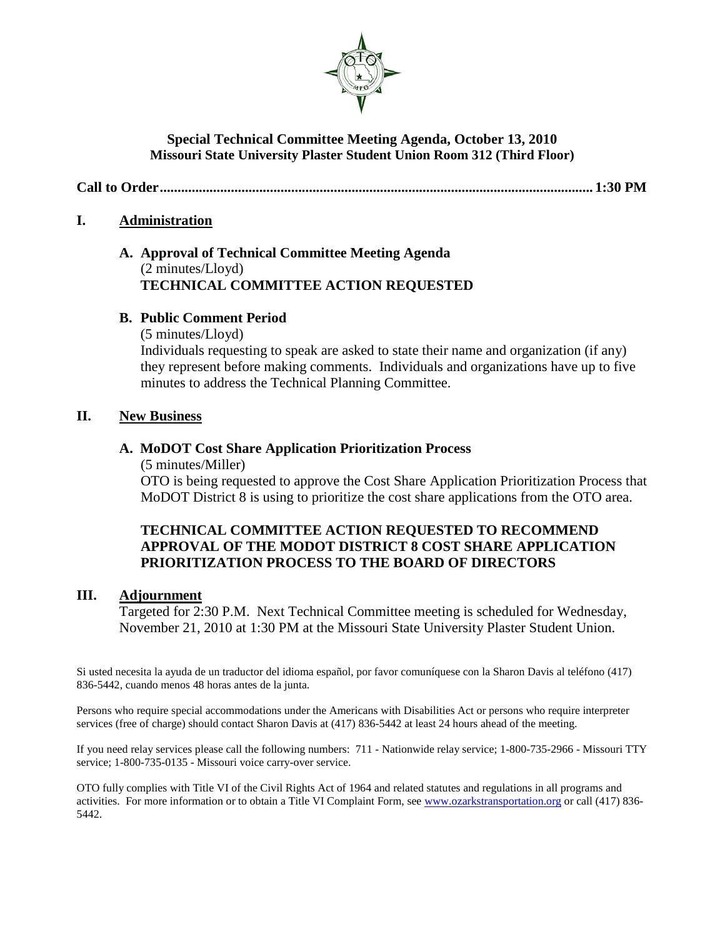

### **Special Technical Committee Meeting Agenda, October 13, 2010 Missouri State University Plaster Student Union Room 312 (Third Floor)**

**Call to Order.......................................................................................................................... 1:30 PM**

### **I. Administration**

### **A. Approval of Technical Committee Meeting Agenda** (2 minutes/Lloyd) **TECHNICAL COMMITTEE ACTION REQUESTED**

### **B. Public Comment Period**

(5 minutes/Lloyd)

Individuals requesting to speak are asked to state their name and organization (if any) they represent before making comments. Individuals and organizations have up to five minutes to address the Technical Planning Committee.

### **II. New Business**

### **A. MoDOT Cost Share Application Prioritization Process**

(5 minutes/Miller)

OTO is being requested to approve the Cost Share Application Prioritization Process that MoDOT District 8 is using to prioritize the cost share applications from the OTO area.

### **TECHNICAL COMMITTEE ACTION REQUESTED TO RECOMMEND APPROVAL OF THE MODOT DISTRICT 8 COST SHARE APPLICATION PRIORITIZATION PROCESS TO THE BOARD OF DIRECTORS**

### **III. Adjournment**

Targeted for 2:30 P.M. Next Technical Committee meeting is scheduled for Wednesday, November 21, 2010 at 1:30 PM at the Missouri State University Plaster Student Union.

Si usted necesita la ayuda de un traductor del idioma español, por favor comuníquese con la Sharon Davis al teléfono (417) 836-5442, cuando menos 48 horas antes de la junta.

Persons who require special accommodations under the Americans with Disabilities Act or persons who require interpreter services (free of charge) should contact Sharon Davis at (417) 836-5442 at least 24 hours ahead of the meeting.

If you need relay services please call the following numbers: 711 - Nationwide relay service; 1-800-735-2966 - Missouri TTY service; 1-800-735-0135 - Missouri voice carry-over service.

OTO fully complies with Title VI of the Civil Rights Act of 1964 and related statutes and regulations in all programs and activities. For more information or to obtain a Title VI Complaint Form, se[e www.ozarkstransportation.org](http://www.ozarkstransportation.org/) or call (417) 836- 5442.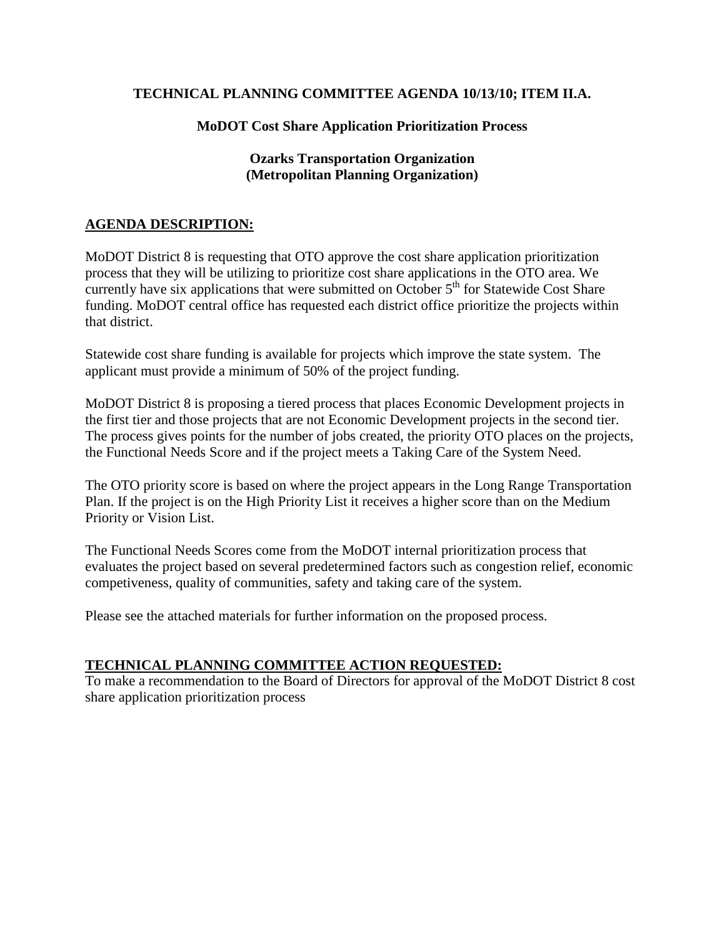### **TECHNICAL PLANNING COMMITTEE AGENDA 10/13/10; ITEM II.A.**

### **MoDOT Cost Share Application Prioritization Process**

### **Ozarks Transportation Organization (Metropolitan Planning Organization)**

### **AGENDA DESCRIPTION:**

MoDOT District 8 is requesting that OTO approve the cost share application prioritization process that they will be utilizing to prioritize cost share applications in the OTO area. We currently have six applications that were submitted on October  $5<sup>th</sup>$  for Statewide Cost Share funding. MoDOT central office has requested each district office prioritize the projects within that district.

Statewide cost share funding is available for projects which improve the state system. The applicant must provide a minimum of 50% of the project funding.

MoDOT District 8 is proposing a tiered process that places Economic Development projects in the first tier and those projects that are not Economic Development projects in the second tier. The process gives points for the number of jobs created, the priority OTO places on the projects, the Functional Needs Score and if the project meets a Taking Care of the System Need.

The OTO priority score is based on where the project appears in the Long Range Transportation Plan. If the project is on the High Priority List it receives a higher score than on the Medium Priority or Vision List.

The Functional Needs Scores come from the MoDOT internal prioritization process that evaluates the project based on several predetermined factors such as congestion relief, economic competiveness, quality of communities, safety and taking care of the system.

Please see the attached materials for further information on the proposed process.

### **TECHNICAL PLANNING COMMITTEE ACTION REQUESTED:**

To make a recommendation to the Board of Directors for approval of the MoDOT District 8 cost share application prioritization process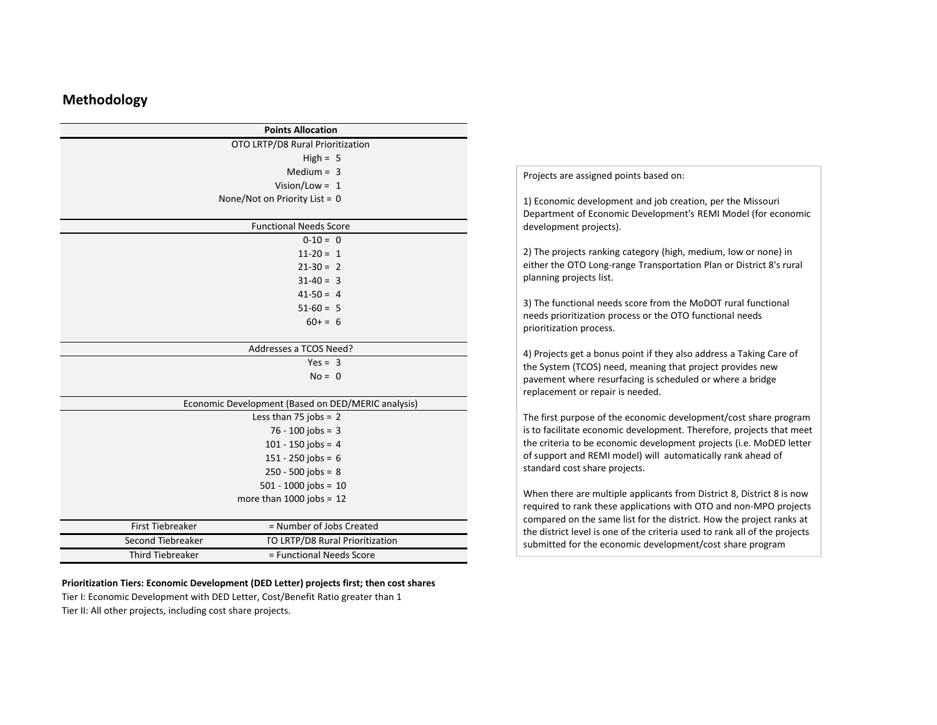### **Methodology**

|                         | <b>Points Allocation</b>                           |
|-------------------------|----------------------------------------------------|
|                         | OTO LRTP/D8 Rural Prioritization                   |
|                         | High = $5$                                         |
|                         | Medium = $3$                                       |
|                         | Vision/Low = $1$                                   |
|                         | None/Not on Priority List = 0                      |
|                         |                                                    |
|                         | <b>Functional Needs Score</b>                      |
|                         | $0-10=0$                                           |
|                         | $11-20 = 1$                                        |
|                         | $21-30 = 2$                                        |
|                         | $31-40 = 3$                                        |
|                         | $41-50 = 4$                                        |
|                         | $51-60 = 5$                                        |
|                         | $60+ = 6$                                          |
|                         |                                                    |
|                         | Addresses a TCOS Need?                             |
|                         | $Yes = 3$                                          |
|                         | $No = 0$                                           |
|                         |                                                    |
|                         | Economic Development (Based on DED/MERIC analysis) |
|                         | Less than 75 jobs = $2$                            |
|                         | $76 - 100$ jobs = 3                                |
|                         | $101 - 150$ jobs = 4                               |
|                         | $151 - 250$ jobs = 6                               |
|                         | $250 - 500$ jobs = 8                               |
|                         | $501 - 1000$ jobs = 10                             |
|                         | more than $1000$ jobs = $12$                       |
|                         |                                                    |
| <b>First Tiebreaker</b> | = Number of Jobs Created                           |
| Second Tiebreaker       | TO LRTP/D8 Rural Prioritization                    |
| <b>Third Tiebreaker</b> | = Functional Needs Score                           |

### **Prioritization Tiers: Economic Development (DED Letter) projects first; then cost shares**

Tier I: Economic Development with DED Letter, Cost/Benefit Ratio greater than 1 Tier II: All other projects, including cost share projects.

Projects are assigned points based on:

1) Economic development and job creation, per the Missouri Department of Economic Development's REMI Model (for economic development projects).

2) The projects ranking category (high, medium, low or none) in either the OTO Long‐range Transportation Plan or District 8's rural planning projects list.

3) The functional needs score from the MoDOT rural functional needs prioritization process or the OTO functional needs prioritization process.

4) Projects get <sup>a</sup> bonus point if they also address <sup>a</sup> Taking Care of the System (TCOS) need, meaning that project provides new pavement where resurfacing is scheduled or where <sup>a</sup> bridge replacement or repair is needed.

The first purpose of the economic development/cost share program is to facilitate economic development. Therefore, projects that meet the criteria to be economic development projects (i.e. MoDED letter of support and REMI model) will automatically rank ahead of standard cost share projects.

When there are multiple applicants from District 8, District 8 is now required to rank these applications with OTO and non‐MPO projects compared on the same list for the district. How the project ranks at the district level is one of the criteria used to rank all of the projects submitted for the economic development/cost share program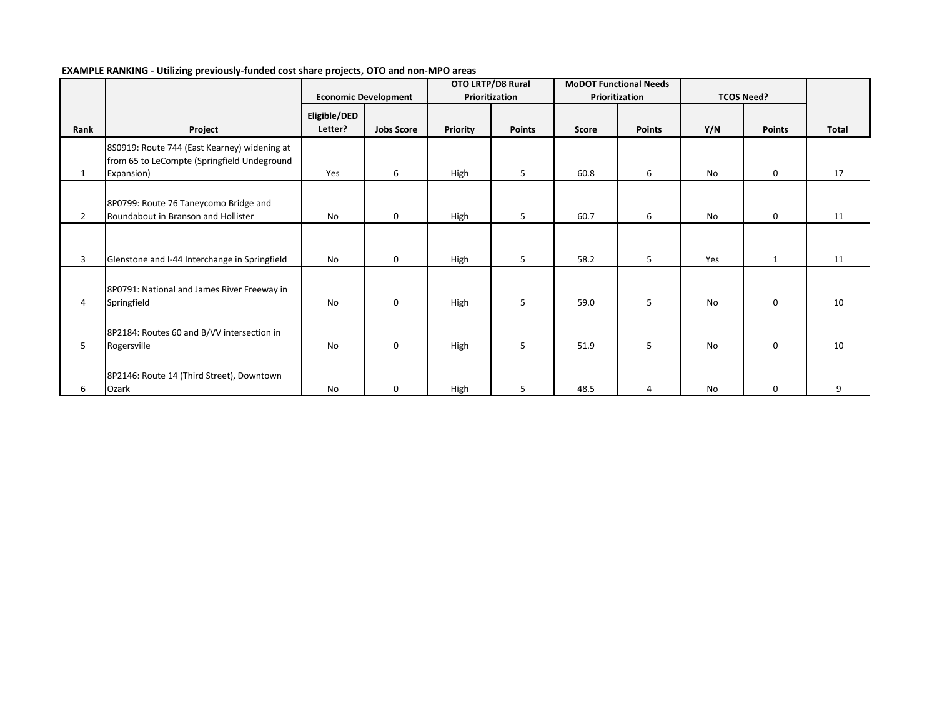|                | . .                                                                                         | . .                     |                             | OTO LRTP/D8 Rural |               | <b>MoDOT Functional Needs</b> |               |                   |               |       |
|----------------|---------------------------------------------------------------------------------------------|-------------------------|-----------------------------|-------------------|---------------|-------------------------------|---------------|-------------------|---------------|-------|
|                |                                                                                             |                         | <b>Economic Development</b> | Prioritization    |               | Prioritization                |               | <b>TCOS Need?</b> |               |       |
| Rank           | Project                                                                                     | Eligible/DED<br>Letter? | <b>Jobs Score</b>           | Priority          | <b>Points</b> | Score                         | <b>Points</b> | Y/N               | <b>Points</b> | Total |
|                | 8S0919: Route 744 (East Kearney) widening at<br>from 65 to LeCompte (Springfield Undeground |                         |                             |                   |               |                               |               |                   |               |       |
| $\mathbf{1}$   | Expansion)                                                                                  | Yes                     | 6                           | High              | 5             | 60.8                          | 6             | <b>No</b>         | $\mathbf 0$   | 17    |
| $\overline{2}$ | 8P0799: Route 76 Taneycomo Bridge and<br>Roundabout in Branson and Hollister                | No                      | $\mathbf 0$                 | High              | 5             | 60.7                          | 6             | <b>No</b>         | $\mathbf 0$   | 11    |
| 3              | Glenstone and I-44 Interchange in Springfield                                               | No                      | $\mathbf 0$                 | High              | 5             | 58.2                          | 5             | Yes               | $\mathbf{1}$  | 11    |
| 4              | 8P0791: National and James River Freeway in<br>Springfield                                  | No                      | $\mathbf 0$                 | High              | 5             | 59.0                          | 5             | No                | $\mathbf{0}$  | 10    |
| 5              | 8P2184: Routes 60 and B/VV intersection in<br>Rogersville                                   | No                      | $\mathbf 0$                 | High              | 5             | 51.9                          | 5             | No                | 0             | 10    |
| 6              | 8P2146: Route 14 (Third Street), Downtown<br>Ozark                                          | No                      | 0                           | High              | .5            | 48.5                          | 4             | No                | 0             | 9     |

### **EXAMPLE RANKING ‐ Utilizing previously‐funded cost share projects, OTO and non‐MPO areas**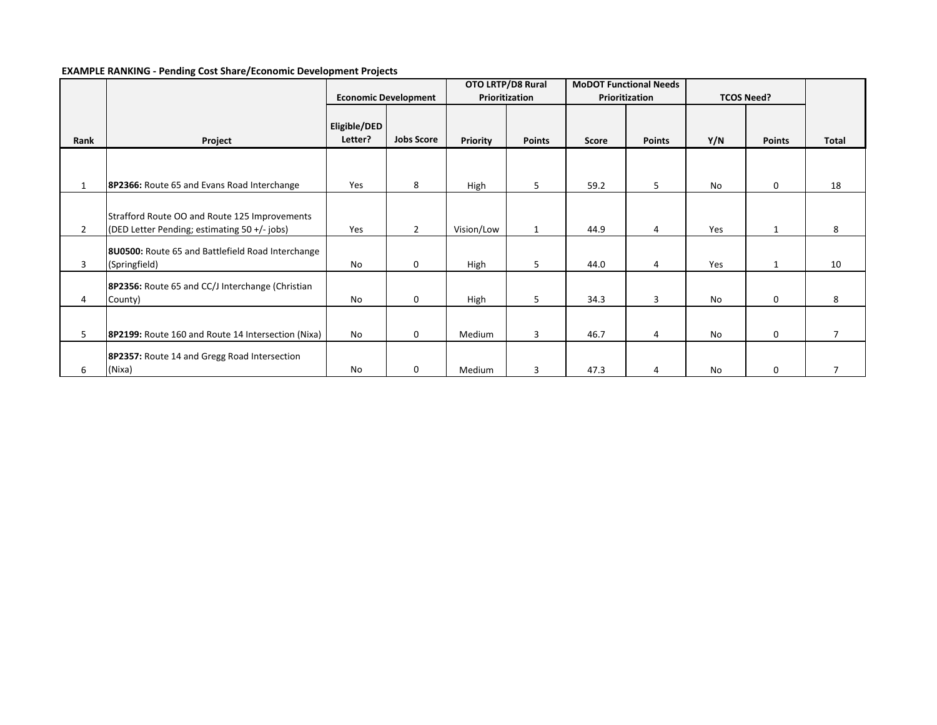### **EXAMPLE RANKING ‐ Pending Cost Share/Economic Development Projects**

|                |                                                                                               |                         |                             | OTO LRTP/D8 Rural |               | <b>MoDOT Functional Needs</b> |               |                   |               |                |
|----------------|-----------------------------------------------------------------------------------------------|-------------------------|-----------------------------|-------------------|---------------|-------------------------------|---------------|-------------------|---------------|----------------|
|                |                                                                                               |                         | <b>Economic Development</b> | Prioritization    |               | Prioritization                |               | <b>TCOS Need?</b> |               |                |
| Rank           | Project                                                                                       | Eligible/DED<br>Letter? | <b>Jobs Score</b>           | Priority          | <b>Points</b> | Score                         | <b>Points</b> | Y/N               | <b>Points</b> | Total          |
|                |                                                                                               |                         |                             |                   |               |                               |               |                   |               |                |
| 1              | 8P2366: Route 65 and Evans Road Interchange                                                   | Yes                     | 8                           | High              | 5             | 59.2                          | 5             | No                | $\mathbf 0$   | 18             |
| $\overline{2}$ | Strafford Route OO and Route 125 Improvements<br>(DED Letter Pending; estimating 50 +/- jobs) | Yes                     | $\overline{2}$              | Vision/Low        | $\mathbf{1}$  | 44.9                          | 4             | Yes               | 1             | 8              |
| 3              | 8U0500: Route 65 and Battlefield Road Interchange<br>(Springfield)                            | No                      | 0                           | High              | 5             | 44.0                          | 4             | Yes               | 1             | 10             |
| 4              | 8P2356: Route 65 and CC/J Interchange (Christian<br>County)                                   | No                      | 0                           | High              | 5             | 34.3                          | 3             | No                | 0             | 8              |
|                |                                                                                               |                         |                             |                   |               |                               |               |                   |               |                |
| 5              | 8P2199: Route 160 and Route 14 Intersection (Nixa)                                            | <b>No</b>               | $\mathbf{0}$                | Medium            | 3             | 46.7                          | 4             | No                | $\mathbf 0$   | $\overline{7}$ |
| 6              | 8P2357: Route 14 and Gregg Road Intersection<br>(Nixa)                                        | No                      | 0                           | Medium            | 3             | 47.3                          | 4             | <b>No</b>         | $\mathbf 0$   |                |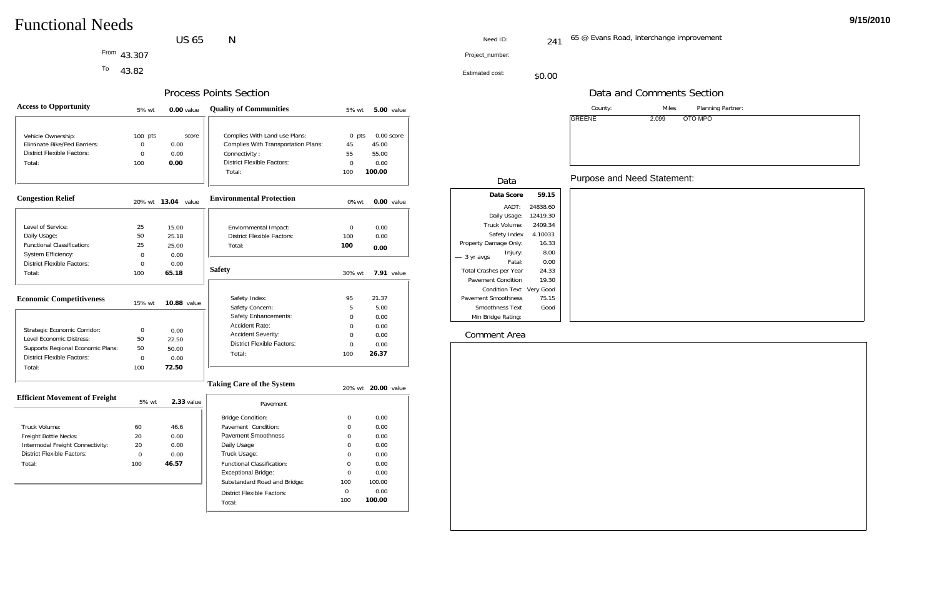### US 65  $N$

<sup>To</sup> 43.82

Planning Partner:

O MPO

| <b>Access to Opportunity</b>                                                                                                                 | 5% wt                      | $0.00$ value                            | <b>Quality of Communities</b>                                                                                                               | 5% wt                                     |                                  | <b>5.00</b> value |
|----------------------------------------------------------------------------------------------------------------------------------------------|----------------------------|-----------------------------------------|---------------------------------------------------------------------------------------------------------------------------------------------|-------------------------------------------|----------------------------------|-------------------|
| Vehicle Ownership:<br>Eliminate Bike/Ped Barriers:<br><b>District Flexible Factors:</b><br>Total:                                            | $100$ pts<br>0<br>0<br>100 | score<br>0.00<br>0.00<br>0.00           | Complies With Land use Plans:<br><b>Complies With Transportation Plans:</b><br>Connectivity:<br><b>District Flexible Factors:</b><br>Total: | $0$ pts<br>45<br>55<br>$\mathbf 0$<br>100 | 45.00<br>55.00<br>0.00<br>100.00 | $0.00$ score      |
| <b>Congestion Relief</b>                                                                                                                     |                            | 20% wt 13.04 value                      | <b>Environmental Protection</b>                                                                                                             | 0%wt                                      |                                  | 0.00 value        |
| Level of Service:<br>Daily Usage:<br><b>Functional Classification:</b><br>System Efficiency:                                                 | 25<br>50<br>25<br>0        | 15.00<br>25.18<br>25.00<br>0.00         | Enviornmental Impact:<br><b>District Flexible Factors:</b><br>Total:                                                                        | 0<br>100<br>100                           | 0.00<br>0.00<br>0.00             |                   |
| <b>District Flexible Factors:</b><br>Total:                                                                                                  | 0<br>100                   | 0.00<br>65.18                           | <b>Safety</b>                                                                                                                               | 30% wt                                    |                                  | $7.91$ value      |
| <b>Economic Competitiveness</b>                                                                                                              | 15% wt                     | 10.88 value                             | Safety Index:<br>Safety Concern:<br>Safety Enhancements:                                                                                    | 95<br>5<br>0                              | 21.37<br>5.00<br>0.00            |                   |
| Strategic Economic Corridor:<br>Level Economic Distress:<br>Supports Regional Economic Plans:<br><b>District Flexible Factors:</b><br>Total: | 0<br>50<br>50<br>0<br>100  | 0.00<br>22.50<br>50.00<br>0.00<br>72.50 | Accident Rate:<br>Accident Severity:<br><b>District Flexible Factors:</b><br>Total:                                                         | $\Omega$<br>$\mathbf 0$<br>0<br>100       | 0.00<br>0.00<br>0.00<br>26.37    |                   |
| <b>Efficient Movement of Freight</b>                                                                                                         |                            |                                         | <b>Taking Care of the System</b>                                                                                                            |                                           | 20% wt <b>20.00</b> value        |                   |
|                                                                                                                                              | 5% wt                      | $2.33$ value                            | <b>Dovemont</b>                                                                                                                             |                                           |                                  |                   |

| ing Care of the System            |     | 20% wt <b>20.00</b> value |
|-----------------------------------|-----|---------------------------|
| Pavement                          |     |                           |
| <b>Bridge Condition:</b>          | 0   | 0.00                      |
| Pavement Condition:               | U   | 0.00                      |
| Pavement Smoothness               | 0   | 0.00                      |
| Daily Usage                       | 0   | 0.00                      |
| Truck Usage:                      | 0   | 0.00                      |
| <b>Functional Classification:</b> | 0   | 0.00                      |
| Exceptional Bridge:               | ∩   | 0.00                      |
| Substandard Road and Bridge:      | 100 | 100.00                    |
| District Flexible Factors:        | 0   | 0.00                      |
| Total:                            | 100 | 100.00                    |

43.307 Project\_number: From

|                                  | $5\%$ wt | 2.33 value |
|----------------------------------|----------|------------|
|                                  |          |            |
| Truck Volume:                    | 60       | 46.6       |
| Freight Bottle Necks:            | 20       | 0.00       |
| Intermodal Freight Connectivity: | 20       | 0.00       |
| District Flexible Factors:       | 0        | 0.00       |
| Total:                           | 100      | 46.57      |
|                                  |          |            |

|                          |          | County:       | <b>Miles</b>                       |
|--------------------------|----------|---------------|------------------------------------|
|                          |          | <b>GREENE</b> | <b>OTC</b><br>2.099                |
| Data                     |          |               | <b>Purpose and Need Statement:</b> |
| Data Score               | 59.15    |               |                                    |
| AADT:                    | 24838.60 |               |                                    |
| Daily Usage:             | 12419.30 |               |                                    |
| Truck Volume:            | 2409.34  |               |                                    |
| Safety Index             | 4.10033  |               |                                    |
| Property Damage Only:    | 16.33    |               |                                    |
| Injury:<br>$-$ 3 yr avgs | 8.00     |               |                                    |
| Fatal:                   | 0.00     |               |                                    |
| Total Crashes per Year   | 24.33    |               |                                    |
| Pavement Condition       | 19.30    |               |                                    |
| Condition Text Very Good |          |               |                                    |
| Pavement Smoothness      | 75.15    |               |                                    |
| Smoothness Text          | Good     |               |                                    |
| Min Bridge Rating:       |          |               |                                    |

Estimated cost:\$0.00

### Process Points Section

Need ID:

: 241 65 @ Evans Road, interchange improvement

## Data and Comments Section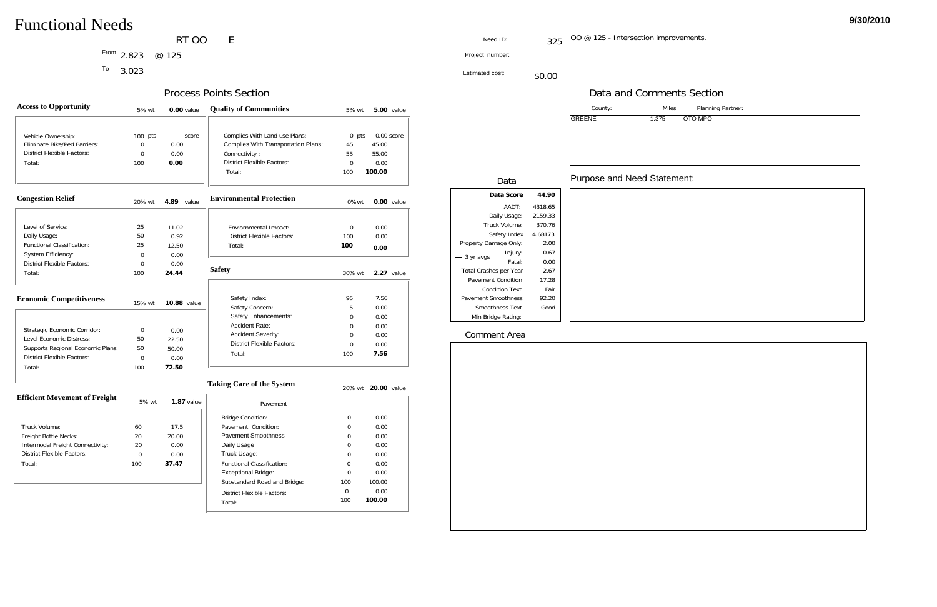RT OO  $\mathsf{E}% _{0}$ 

Planning Partner:

O MPO

| <b>Access to Opportunity</b>                             | 5% wt             | $0.00$ value       | <b>Quality of Communities</b>              | 5% wt          |             | <b>5.00</b> value |
|----------------------------------------------------------|-------------------|--------------------|--------------------------------------------|----------------|-------------|-------------------|
|                                                          |                   |                    |                                            |                |             |                   |
| Vehicle Ownership:                                       | $100$ pts         | score              | Complies With Land use Plans:              | $0$ pts        |             | $0.00$ score      |
| Eliminate Bike/Ped Barriers:                             | $\mathbf 0$       | 0.00               | <b>Complies With Transportation Plans:</b> | 45             | 45.00       |                   |
| <b>District Flexible Factors:</b>                        | $\overline{0}$    | 0.00               | Connectivity:                              | 55             | 55.00       |                   |
| Total:                                                   | 100               | 0.00               | <b>District Flexible Factors:</b>          | $\overline{0}$ | 0.00        |                   |
|                                                          |                   |                    | Total:                                     | 100            | 100.00      |                   |
| <b>Congestion Relief</b>                                 | 20% wt            | 4.89 value         | <b>Environmental Protection</b>            | 0%wt           |             | 0.00 value        |
|                                                          |                   |                    |                                            |                |             |                   |
| Level of Service:                                        | 25                | 11.02              | Enviornmental Impact:                      | 0              | 0.00        |                   |
| Daily Usage:                                             | 50                | 0.92               | <b>District Flexible Factors:</b>          | 100            | 0.00        |                   |
| <b>Functional Classification:</b>                        | 25                | 12.50              | Total:                                     | 100            | 0.00        |                   |
| System Efficiency:                                       | $\overline{0}$    | 0.00               |                                            |                |             |                   |
| <b>District Flexible Factors:</b>                        | $\mathbf 0$       | 0.00               |                                            |                |             |                   |
| Total:                                                   | 100               | 24.44              | <b>Safety</b>                              | 30% wt         |             | 2.27 value        |
| <b>Economic Competitiveness</b>                          |                   |                    | Safety Index:                              | 95             | 7.56        |                   |
|                                                          | 15% wt            | <b>10.88 value</b> | Safety Concern:                            | 5              | 0.00        |                   |
|                                                          |                   |                    | Safety Enhancements:                       | 0              | 0.00        |                   |
|                                                          |                   |                    | <b>Accident Rate:</b>                      | $\Omega$       | 0.00        |                   |
| Strategic Economic Corridor:<br>Level Economic Distress: | $\mathbf 0$<br>50 | 0.00               | <b>Accident Severity:</b>                  | 0              | 0.00        |                   |
| Supports Regional Economic Plans:                        | 50                | 22.50<br>50.00     | <b>District Flexible Factors:</b>          | $\overline{0}$ | 0.00        |                   |
| <b>District Flexible Factors:</b>                        | $\mathbf 0$       | 0.00               | Total:                                     | 100            | 7.56        |                   |
| Total:                                                   | 100               | 72.50              |                                            |                |             |                   |
|                                                          |                   |                    | <b>Taking Care of the System</b>           | 20% wt         | 20.00 value |                   |
| <b>Efficient Movement of Freight</b>                     | 5% wt             | $1.87$ value       | <b>Davamont</b>                            |                |             |                   |

| king Care of the System           |     | 20% wt <b>20.00</b> value |
|-----------------------------------|-----|---------------------------|
| Pavement                          |     |                           |
| <b>Bridge Condition:</b>          | 0   | 0.00                      |
| Pavement Condition:               | Ω   | 0.00                      |
| <b>Pavement Smoothness</b>        | O   | 0.00                      |
| Daily Usage                       | 0   | 0.00                      |
| Truck Usage:                      | ∩   | 0.00                      |
| <b>Functional Classification:</b> | U   | 0.00                      |
| Exceptional Bridge:               | U   | 0.00                      |
| Substandard Road and Bridge:      | 100 | 100.00                    |
| District Flexible Factors:        | ∩   | 0.00                      |
| Total:                            | 100 | 100.00                    |

2.823 Project\_number: From @ 125

<sup>To</sup> 3.023

|                                  | 5% wt | 1.87 value |  |
|----------------------------------|-------|------------|--|
|                                  |       |            |  |
| Truck Volume:                    | 60    | 17.5       |  |
| Freight Bottle Necks:            | 20    | 20.00      |  |
| Intermodal Freight Connectivity: | 20    | 0.00       |  |
| District Flexible Factors:       | O     | 0.00       |  |
| Total:                           | 100   | 37.47      |  |
|                                  |       |            |  |

|                            |                        |         | County:                            | <b>Miles</b> |            |
|----------------------------|------------------------|---------|------------------------------------|--------------|------------|
|                            |                        |         | <b>GREENE</b>                      | 1.375        | <b>OTC</b> |
|                            |                        |         |                                    |              |            |
|                            | Data                   |         | <b>Purpose and Need Statement:</b> |              |            |
|                            | Data Score             | 44.90   |                                    |              |            |
|                            | AADT:                  | 4318.65 |                                    |              |            |
|                            | Daily Usage:           | 2159.33 |                                    |              |            |
|                            | Truck Volume:          | 370.76  |                                    |              |            |
|                            | Safety Index           | 4.68173 |                                    |              |            |
| Property Damage Only:      |                        | 2.00    |                                    |              |            |
|                            | Injury:                | 0.67    |                                    |              |            |
| - 3 yr avgs                | Fatal:                 | 0.00    |                                    |              |            |
| Total Crashes per Year     |                        | 2.67    |                                    |              |            |
| Pavement Condition         |                        | 17.28   |                                    |              |            |
|                            | <b>Condition Text</b>  | Fair    |                                    |              |            |
| <b>Pavement Smoothness</b> |                        | 92.20   |                                    |              |            |
|                            | <b>Smoothness Text</b> | Good    |                                    |              |            |
| Min Bridge Rating:         |                        |         |                                    |              |            |

Estimated cost:\$0.00

OO @ 125 - Intersection improvements. 325

### Process Points Section

Need ID:

## Data and Comments Section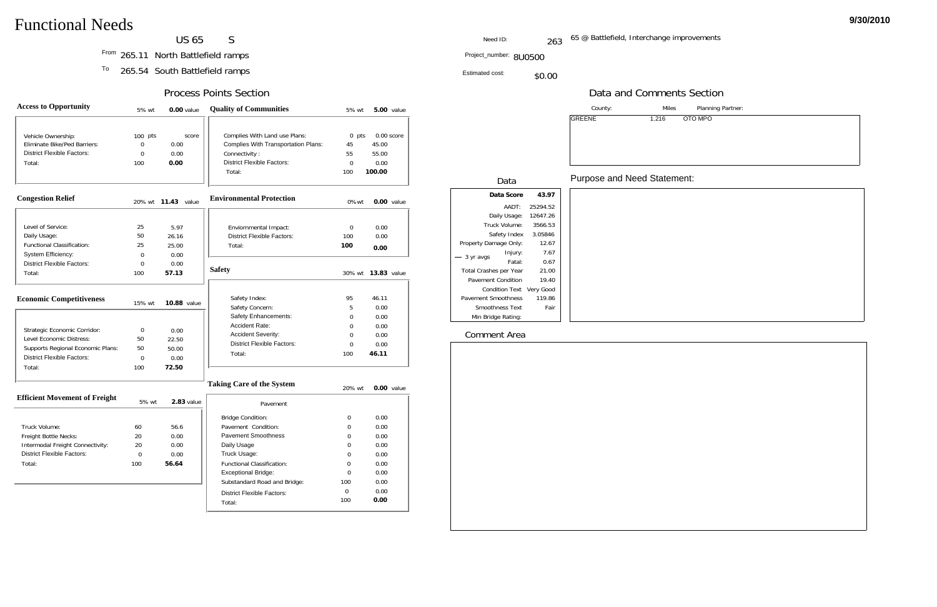**US 65**  $S$ 

Planning Partner:

TO MPO

| <b>Access to Opportunity</b>         | 5% wt       | $0.00$ value              | <b>Quality of Communities</b>              | 5% wt       |                    | <b>5.00</b> value |
|--------------------------------------|-------------|---------------------------|--------------------------------------------|-------------|--------------------|-------------------|
|                                      |             |                           |                                            |             |                    |                   |
| Vehicle Ownership:                   | $100$ pts   | score                     | Complies With Land use Plans:              | $0$ pts     |                    | $0.00$ score      |
| Eliminate Bike/Ped Barriers:         | $\mathbf 0$ | 0.00                      | <b>Complies With Transportation Plans:</b> | 45          | 45.00              |                   |
| <b>District Flexible Factors:</b>    | $\mathbf 0$ | 0.00                      | Connectivity:                              | 55          | 55.00              |                   |
| Total:                               | 100         | 0.00                      | <b>District Flexible Factors:</b>          | $\mathbf 0$ | 0.00               |                   |
|                                      |             |                           | Total:                                     | 100         | 100.00             |                   |
| <b>Congestion Relief</b>             |             | 20% wt <b>11.43</b> value | <b>Environmental Protection</b>            | 0%wt        |                    | 0.00 value        |
|                                      |             |                           |                                            |             |                    |                   |
| Level of Service:                    | 25          | 5.97                      | Enviornmental Impact:                      | $\mathbf 0$ | 0.00               |                   |
| Daily Usage:                         | 50          | 26.16                     | <b>District Flexible Factors:</b>          | 100         | 0.00               |                   |
| <b>Functional Classification:</b>    | 25          | 25.00                     | Total:                                     | 100         | 0.00               |                   |
| System Efficiency:                   | $\mathbf 0$ | 0.00                      |                                            |             |                    |                   |
| <b>District Flexible Factors:</b>    | $\mathbf 0$ | 0.00                      | <b>Safety</b>                              |             |                    |                   |
| Total:                               | 100         | 57.13                     |                                            | 30% wt      | <b>13.83</b> value |                   |
| <b>Economic Competitiveness</b>      | 15% wt      | <b>10.88 value</b>        | Safety Index:                              | 95          | 46.11              |                   |
|                                      |             |                           | Safety Concern:                            | 5           | 0.00               |                   |
|                                      |             |                           | Safety Enhancements:                       | 0           | 0.00               |                   |
| Strategic Economic Corridor:         | 0           | 0.00                      | Accident Rate:                             | 0           | 0.00               |                   |
| Level Economic Distress:             | 50          | 22.50                     | <b>Accident Severity:</b>                  | $\Omega$    | 0.00               |                   |
| Supports Regional Economic Plans:    | 50          | 50.00                     | <b>District Flexible Factors:</b>          | 0           | 0.00               |                   |
| <b>District Flexible Factors:</b>    | $\mathbf 0$ | 0.00                      | Total:                                     | 100         | 46.11              |                   |
| Total:                               | 100         | 72.50                     |                                            |             |                    |                   |
|                                      |             |                           | <b>Taking Care of the System</b>           | 20% wt      |                    | $0.00$ value      |
| <b>Efficient Movement of Freight</b> | 5% wt       | 2.83 value                | Pavement                                   |             |                    |                   |
|                                      |             |                           | Dridge Condition.                          | $\sim$      | 0.00               |                   |

| sing Care of the System           | $20\%$ wt | $0.00$ value |
|-----------------------------------|-----------|--------------|
| Pavement                          |           |              |
| <b>Bridge Condition:</b>          | 0         | 0.00         |
| Pavement Condition:               | 0         | 0.00         |
| Pavement Smoothness               | 0         | 0.00         |
| Daily Usage                       | 0         | 0.00         |
| Truck Usage:                      | 0         | 0.00         |
| <b>Functional Classification:</b> | 0         | 0.00         |
| Exceptional Bridge:               | ∩         | 0.00         |
| Substandard Road and Bridge:      | 100       | 0.00         |
| District Flexible Factors:        | U         | 0.00         |
| Total:                            | 100       | 0.00         |
|                                   |           |              |

265.11 From North Battlefield ramps

<sup>To</sup> 265.54 South Battlefield ramps

| Truck Volume:                    | 60  | 56.6  |  |
|----------------------------------|-----|-------|--|
| Freight Bottle Necks:            | 20  | 0.00  |  |
| Intermodal Freight Connectivity: | 20  | 0.00  |  |
| District Flexible Factors:       | ∩   | 0.00  |  |
| Total:                           | 100 | 56.64 |  |
|                                  |     |       |  |

|  |                          |          | County:                     | <b>Miles</b> |                 |
|--|--------------------------|----------|-----------------------------|--------------|-----------------|
|  |                          |          | <b>GREENE</b>               | 1.216        | OT <sub>0</sub> |
|  |                          |          |                             |              |                 |
|  |                          |          |                             |              |                 |
|  |                          |          |                             |              |                 |
|  |                          |          |                             |              |                 |
|  |                          |          |                             |              |                 |
|  |                          |          | Purpose and Need Statement: |              |                 |
|  | Data                     |          |                             |              |                 |
|  | Data Score               | 43.97    |                             |              |                 |
|  | AADT:                    | 25294.52 |                             |              |                 |
|  | Daily Usage:             | 12647.26 |                             |              |                 |
|  | Truck Volume:            | 3566.53  |                             |              |                 |
|  | Safety Index             | 3.05846  |                             |              |                 |
|  | Property Damage Only:    | 12.67    |                             |              |                 |
|  | Injury:<br>3 yr avgs     | 7.67     |                             |              |                 |
|  | Fatal:                   | 0.67     |                             |              |                 |
|  | Total Crashes per Year   | 21.00    |                             |              |                 |
|  | Pavement Condition       | 19.40    |                             |              |                 |
|  | Condition Text Very Good |          |                             |              |                 |
|  | Pavement Smoothness      | 119.86   |                             |              |                 |
|  | Smoothness Text          | Fair     |                             |              |                 |
|  | Min Bridge Rating:       |          |                             |              |                 |

Estimated cost:\$0.00

Project\_number: 8U0500

65 @ Battlefield, Interchange improvements 263

### Process Points Section

Need ID:

## Data and Comments Section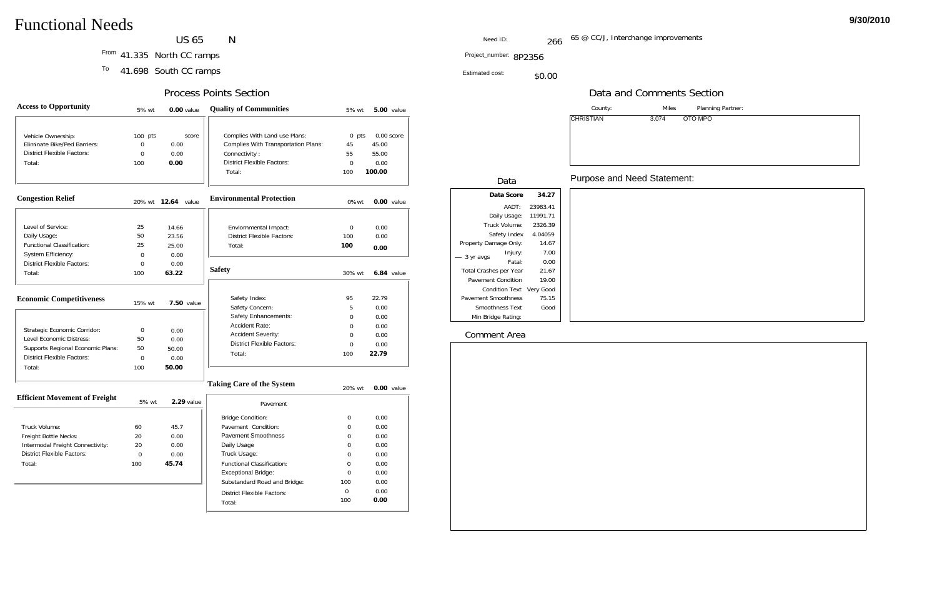US 65  $N$ 

Planning Partner:

TO MPO

| <b>Access to Opportunity</b>                                                                                                                 | 5% wt                                                | 0.00 value                             | <b>Quality of Communities</b>                                                                                                               | 5% wt                                        |                                       | <b>5.00</b> value |
|----------------------------------------------------------------------------------------------------------------------------------------------|------------------------------------------------------|----------------------------------------|---------------------------------------------------------------------------------------------------------------------------------------------|----------------------------------------------|---------------------------------------|-------------------|
| Vehicle Ownership:<br>Eliminate Bike/Ped Barriers:<br><b>District Flexible Factors:</b><br>Total:                                            | $100$ pts<br>$\overline{0}$<br>$\overline{0}$<br>100 | score<br>0.00<br>0.00<br>0.00          | Complies With Land use Plans:<br><b>Complies With Transportation Plans:</b><br>Connectivity:<br><b>District Flexible Factors:</b><br>Total: | $0$ pts<br>45<br>55<br>$\Omega$<br>100       | 45.00<br>55.00<br>0.00<br>100.00      | $0.00$ score      |
| <b>Congestion Relief</b>                                                                                                                     |                                                      | 20% wt <b>12.64</b> value              | <b>Environmental Protection</b>                                                                                                             | $0\%$ wt                                     |                                       | 0.00 value        |
| Level of Service:<br>Daily Usage:<br><b>Functional Classification:</b><br>System Efficiency:                                                 | 25<br>50<br>25<br>$\overline{0}$                     | 14.66<br>23.56<br>25.00<br>0.00        | Enviornmental Impact:<br><b>District Flexible Factors:</b><br>Total:                                                                        | $\Omega$<br>100<br>100                       | 0.00<br>0.00<br>0.00                  |                   |
| <b>District Flexible Factors:</b><br>Total:                                                                                                  | $\Omega$<br>100                                      | 0.00<br>63.22                          | <b>Safety</b>                                                                                                                               | 30% wt                                       |                                       | $6.84$ value      |
| <b>Economic Competitiveness</b>                                                                                                              | 15% wt                                               | <b>7.50 value</b>                      | Safety Index:<br>Safety Concern:                                                                                                            | 95<br>5                                      | 22.79<br>0.00                         |                   |
| Strategic Economic Corridor:<br>Level Economic Distress:<br>Supports Regional Economic Plans:<br><b>District Flexible Factors:</b><br>Total: | 0<br>50<br>50<br>$\Omega$<br>100                     | 0.00<br>0.00<br>50.00<br>0.00<br>50.00 | Safety Enhancements:<br><b>Accident Rate:</b><br><b>Accident Severity:</b><br><b>District Flexible Factors:</b><br>Total:                   | $\Omega$<br>$\Omega$<br>$\Omega$<br>0<br>100 | 0.00<br>0.00<br>0.00<br>0.00<br>22.79 |                   |
|                                                                                                                                              |                                                      |                                        | <b>Taking Care of the System</b>                                                                                                            | 20% wt                                       |                                       | 0.00 value        |
| <b>Efficient Movement of Freight</b>                                                                                                         | 5% wt                                                | $2.29$ value                           | Pavement                                                                                                                                    |                                              |                                       |                   |

| ing Care of the System            | 20% wt | $0.00$ value |
|-----------------------------------|--------|--------------|
| Pavement                          |        |              |
| <b>Bridge Condition:</b>          | 0      | 0.00         |
| Pavement Condition:               | 0      | 0.00         |
| Pavement Smoothness               | 0      | 0.00         |
| Daily Usage                       | 0      | 0.00         |
| Truck Usage:                      | 0      | 0.00         |
| <b>Functional Classification:</b> | 0      | 0.00         |
| Exceptional Bridge:               | ∩      | 0.00         |
| Substandard Road and Bridge:      | 100    | 0.00         |
| District Flexible Factors:        | 0      | 0.00         |
| Total:                            | 100    | 0.00         |

41.335 From North CC ramps

<sup>To</sup> 41.698 South CC ramps

| Efficient Movement of Freight    | 5% wt    | 2.29 value |
|----------------------------------|----------|------------|
|                                  |          |            |
| Truck Volume:                    | 60       | 45.7       |
| Freight Bottle Necks:            | 20       | 0.00       |
| Intermodal Freight Connectivity: | 20       | 0.00       |
| District Flexible Factors:       | $\Omega$ | 0.00       |
| Total:                           | 100      | 45.74      |
|                                  |          |            |

|                            |                          | County:          | <b>Miles</b>                       |
|----------------------------|--------------------------|------------------|------------------------------------|
|                            |                          | <b>CHRISTIAN</b> | OT <sub>O</sub><br>3.074           |
| Data                       |                          |                  | <b>Purpose and Need Statement:</b> |
| Data Score                 | 34.27                    |                  |                                    |
| AADT:                      | 23983.41                 |                  |                                    |
| Daily Usage:               | 11991.71                 |                  |                                    |
| Truck Volume:              | 2326.39                  |                  |                                    |
| Safety Index               | 4.04059                  |                  |                                    |
| Property Damage Only:      | 14.67                    |                  |                                    |
| Injury:                    | 7.00                     |                  |                                    |
| 3 yr avgs<br>Fatal:        | 0.00                     |                  |                                    |
| Total Crashes per Year     | 21.67                    |                  |                                    |
| Pavement Condition         | 19.00                    |                  |                                    |
|                            | Condition Text Very Good |                  |                                    |
| <b>Pavement Smoothness</b> | 75.15                    |                  |                                    |
| Smoothness Text            | Good                     |                  |                                    |
| Min Bridge Rating:         |                          |                  |                                    |

Estimated cost:\$0.00

Project\_number: 8P2356

### Process Points Section

Need ID:

: 266 <sup>65 @</sup> CC/J, Interchange improvements

## Data and Comments Section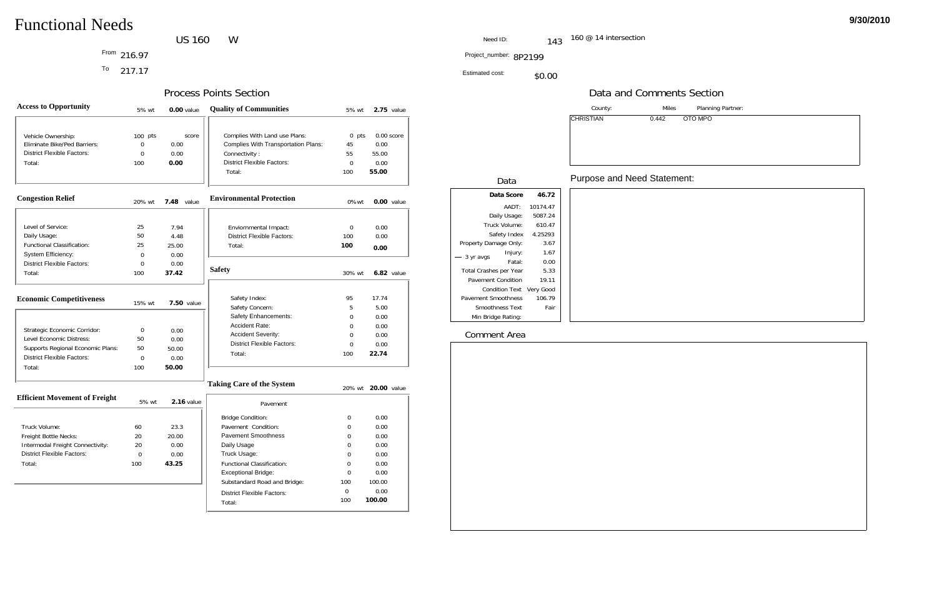Planning Partner:

TO MPO

### US 160 W

216.97

<sup>To</sup> 217.17

| <b>Access to Opportunity</b>         | 5% wt          | 0.00 value        | <b>Quality of Communities</b>              | 5% wt       | $2.75$ value      |
|--------------------------------------|----------------|-------------------|--------------------------------------------|-------------|-------------------|
|                                      |                |                   |                                            |             |                   |
| Vehicle Ownership:                   | $100$ pts      | score             | Complies With Land use Plans:              | $0$ pts     | 0.00 score        |
| Eliminate Bike/Ped Barriers:         | $\overline{0}$ | 0.00              | <b>Complies With Transportation Plans:</b> | 45          | 0.00              |
| <b>District Flexible Factors:</b>    | $\overline{0}$ | 0.00              | Connectivity:                              | 55          | 55.00             |
| Total:                               | 100            | 0.00              | <b>District Flexible Factors:</b>          | $\mathbf 0$ | 0.00              |
|                                      |                |                   | Total:                                     | 100         | 55.00             |
| <b>Congestion Relief</b>             | 20% wt         | 7.48 value        | <b>Environmental Protection</b>            | 0%wt        | 0.00 value        |
|                                      |                |                   |                                            |             |                   |
| Level of Service:                    | 25             | 7.94              | Enviornmental Impact:                      | $\mathbf 0$ | 0.00              |
| Daily Usage:                         | 50             | 4.48              | <b>District Flexible Factors:</b>          | 100         | 0.00              |
| <b>Functional Classification:</b>    | 25             | 25.00             | Total:                                     | 100         | 0.00              |
| System Efficiency:                   | 0              | 0.00              |                                            |             |                   |
| <b>District Flexible Factors:</b>    | $\overline{0}$ | 0.00              | <b>Safety</b>                              |             |                   |
| Total:                               | 100            | 37.42             |                                            | 30% wt      | <b>6.82</b> value |
| <b>Economic Competitiveness</b>      | 15% wt         | <b>7.50 value</b> | Safety Index:                              | 95          | 17.74             |
|                                      |                |                   | Safety Concern:                            | 5           | 5.00              |
|                                      |                |                   | Safety Enhancements:                       | 0           | 0.00              |
| Strategic Economic Corridor:         | $\mathbf 0$    | 0.00              | Accident Rate:                             | $\Omega$    | 0.00              |
| Level Economic Distress:             | 50             | 0.00              | Accident Severity:                         | 0           | 0.00              |
| Supports Regional Economic Plans:    | 50             | 50.00             | <b>District Flexible Factors:</b>          | $\mathbf 0$ | 0.00              |
| <b>District Flexible Factors:</b>    | $\overline{0}$ | 0.00              | Total:                                     | 100         | 22.74             |
| Total:                               | 100            | 50.00             |                                            |             |                   |
|                                      |                |                   | <b>Taking Care of the System</b>           | 20% wt      | 20.00 value       |
| <b>Efficient Movement of Freight</b> | 5% wt          | 2.16 value        | Payement                                   |             |                   |

| sing Care of the System           |     | 20% wt <b>20.00</b> value |
|-----------------------------------|-----|---------------------------|
| Pavement                          |     |                           |
| <b>Bridge Condition:</b>          | O   | 0.00                      |
| Pavement Condition:               | O   | 0.00                      |
| Pavement Smoothness               | O   | 0.00                      |
| Daily Usage                       | 0   | 0.00                      |
| Truck Usage:                      | 0   | 0.00                      |
| <b>Functional Classification:</b> | Ω   | 0.00                      |
| Exceptional Bridge:               | O   | 0.00                      |
| Substandard Road and Bridge:      | 100 | 100.00                    |
| <b>District Flexible Factors:</b> | 0   | 0.00                      |
| Total:                            | 100 | 100.00                    |

|                                  | 5% Wt | 2.16 value |
|----------------------------------|-------|------------|
|                                  |       |            |
| Truck Volume:                    | 60    | 23.3       |
| Freight Bottle Necks:            | 20    | 20.00      |
| Intermodal Freight Connectivity: | 20    | 0.00       |
| District Flexible Factors:       | O     | 0.00       |
| Total:                           | 100   | 43.25      |
|                                  |       |            |

|                          |          | County:          | <b>Miles</b>                       |
|--------------------------|----------|------------------|------------------------------------|
|                          |          | <b>CHRISTIAN</b> | 0.442<br>OT <sub>0</sub>           |
| Data                     |          |                  | <b>Purpose and Need Statement:</b> |
| Data Score               | 46.72    |                  |                                    |
| AADT:                    | 10174.47 |                  |                                    |
| Daily Usage:             | 5087.24  |                  |                                    |
| Truck Volume:            | 610.47   |                  |                                    |
| Safety Index             | 4.25293  |                  |                                    |
| Property Damage Only:    | 3.67     |                  |                                    |
| Injury:<br>3 yr avgs     | 1.67     |                  |                                    |
| Fatal:                   | 0.00     |                  |                                    |
| Total Crashes per Year   | 5.33     |                  |                                    |
| Pavement Condition       | 19.11    |                  |                                    |
| Condition Text Very Good |          |                  |                                    |
| Pavement Smoothness      | 106.79   |                  |                                    |
| Smoothness Text          | Fair     |                  |                                    |
| Min Bridge Rating:       |          |                  |                                    |

Estimated cost:\$0.00

Project\_number: 8P2199 From

### Process Points Section

Need ID:

: the fig.  $143$   $160$  @ 14 intersection

## Data and Comments Section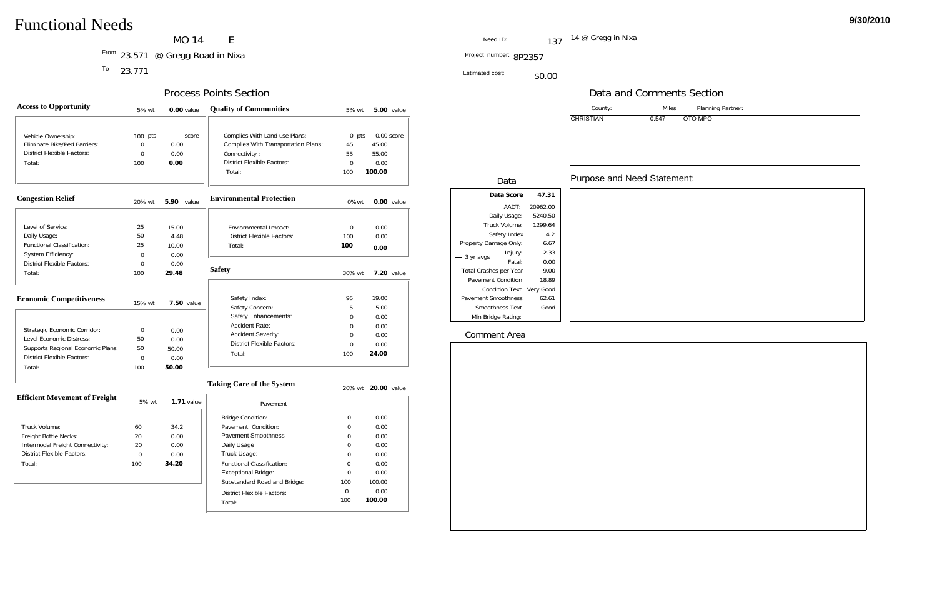### MO 14  $\mathsf{E}% _{0}\left( \mathsf{E}\right)$

<sup>From</sup> 23.571 @ Gregg Road in Nixa and the state of the state of the state of the Project\_number: 8P235 Project\_number: 8P235

<sup>To</sup> 23.771

Planning Partner:

TO MPO

| <b>Access to Opportunity</b>         | 5% wt          | 0.00 value        | <b>Quality of Communities</b>              | 5% wt          | <b>5.00</b> value  |  |
|--------------------------------------|----------------|-------------------|--------------------------------------------|----------------|--------------------|--|
|                                      |                |                   |                                            |                |                    |  |
| Vehicle Ownership:                   | $100$ pts      | score             | Complies With Land use Plans:              | $0$ pts        | $0.00$ score       |  |
| Eliminate Bike/Ped Barriers:         | $\mathbf 0$    | 0.00              | <b>Complies With Transportation Plans:</b> | 45             | 45.00              |  |
| <b>District Flexible Factors:</b>    | $\mathbf 0$    | 0.00              | Connectivity:                              | 55             | 55.00              |  |
| Total:                               | 100            | 0.00              | <b>District Flexible Factors:</b>          | $\overline{0}$ | 0.00               |  |
|                                      |                |                   | Total:                                     | 100            | 100.00             |  |
| <b>Congestion Relief</b>             | 20% wt         | <b>5.90</b> value | <b>Environmental Protection</b>            | 0%wt           | $0.00$ value       |  |
|                                      |                |                   |                                            |                |                    |  |
| Level of Service:                    | 25             | 15.00             | Enviornmental Impact:                      | $\mathbf 0$    | 0.00               |  |
| Daily Usage:                         | 50             | 4.48              | <b>District Flexible Factors:</b>          | 100            | 0.00               |  |
| Functional Classification:           | 25             | 10.00             | Total:                                     | 100            | 0.00               |  |
| System Efficiency:                   | $\Omega$       | 0.00              |                                            |                |                    |  |
| <b>District Flexible Factors:</b>    | 0              | 0.00              | <b>Safety</b>                              |                |                    |  |
| Total:                               | 100            | 29.48             |                                            | 30% wt         | <b>7.20</b> value  |  |
| <b>Economic Competitiveness</b>      | 15% wt         | <b>7.50 value</b> | Safety Index:                              | 95             | 19.00              |  |
|                                      |                |                   | Safety Concern:                            | 5              | 5.00               |  |
|                                      |                |                   | Safety Enhancements:                       | $\Omega$       | 0.00               |  |
| Strategic Economic Corridor:         | 0              | 0.00              | Accident Rate:                             | $\Omega$       | 0.00               |  |
| Level Economic Distress:             | 50             | 0.00              | <b>Accident Severity:</b>                  | 0              | 0.00               |  |
| Supports Regional Economic Plans:    | 50             | 50.00             | <b>District Flexible Factors:</b>          | 0              | 0.00               |  |
| <b>District Flexible Factors:</b>    | $\overline{0}$ | 0.00              | Total:                                     | 100            | 24.00              |  |
| Total:                               | 100            | 50.00             |                                            |                |                    |  |
|                                      |                |                   | <b>Taking Care of the System</b>           |                | 20% wt 20.00 value |  |
| <b>Efficient Movement of Freight</b> | 5% wt          | $1.71$ value      | Pavement                                   |                |                    |  |
|                                      |                |                   | <b>Bridge Condition:</b>                   | 0              | 0.00               |  |
| Truck Volumo:                        | $40^{\circ}$   | 212               | Davamont Condition                         | $\cap$         | 0.00               |  |

| king Care of the System           |     | 20% wt <b>20.00</b> value |
|-----------------------------------|-----|---------------------------|
| Pavement                          |     |                           |
| <b>Bridge Condition:</b>          | 0   | 0.00                      |
| Pavement Condition:               | Ω   | 0.00                      |
| Pavement Smoothness               | ∩   | 0.00                      |
| Daily Usage                       | ∩   | 0.00                      |
| Truck Usage:                      | ∩   | 0.00                      |
| <b>Functional Classification:</b> | U   | 0.00                      |
| Exceptional Bridge:               | U   | 0.00                      |
| Substandard Road and Bridge:      | 100 | 100.00                    |
| District Flexible Factors:        | ∩   | 0.00                      |
| Total:                            | 100 | 100.00                    |

| Truck Volume:                    | 60       | 34.2  |
|----------------------------------|----------|-------|
| Freight Bottle Necks:            | 20       | 0.00  |
| Intermodal Freight Connectivity: | 20       | 0.00  |
| District Flexible Factors:       | $\Omega$ | 0.00  |
| Total:                           | 100      | 34.20 |
|                                  |          |       |

|                          |          | County:                            | <b>Miles</b>             |
|--------------------------|----------|------------------------------------|--------------------------|
|                          |          | <b>CHRISTIAN</b>                   | 0.547<br>OT <sub>O</sub> |
| Data                     |          | <b>Purpose and Need Statement:</b> |                          |
| Data Score               | 47.31    |                                    |                          |
| AADT:                    | 20962.00 |                                    |                          |
| Daily Usage:             | 5240.50  |                                    |                          |
| Truck Volume:            | 1299.64  |                                    |                          |
| Safety Index             | 4.2      |                                    |                          |
| Property Damage Only:    | 6.67     |                                    |                          |
| Injury:<br>3 yr avgs     | 2.33     |                                    |                          |
| Fatal:                   | 0.00     |                                    |                          |
| Total Crashes per Year   | 9.00     |                                    |                          |
| Pavement Condition       | 18.89    |                                    |                          |
| Condition Text Very Good |          |                                    |                          |
| Pavement Smoothness      | 62.61    |                                    |                          |
| Smoothness Text          | Good     |                                    |                          |
| Min Bridge Rating:       |          |                                    |                          |

Estimated cost:\$0.00

Project\_number: 8P2357

14 @ Gregg in Nixa 137

### Process Points Section

Need ID:

### Data and Comments Section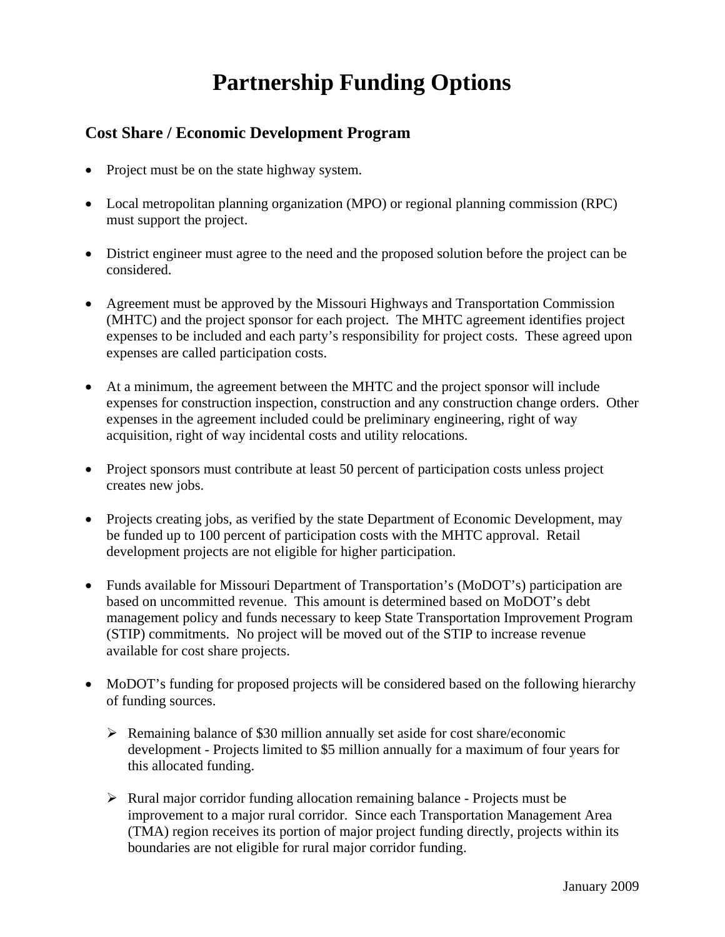## **Partnership Funding Options**

## **Cost Share / Economic Development Program**

- Project must be on the state highway system.
- Local metropolitan planning organization (MPO) or regional planning commission (RPC) must support the project.
- District engineer must agree to the need and the proposed solution before the project can be considered.
- Agreement must be approved by the Missouri Highways and Transportation Commission (MHTC) and the project sponsor for each project. The MHTC agreement identifies project expenses to be included and each party's responsibility for project costs. These agreed upon expenses are called participation costs.
- At a minimum, the agreement between the MHTC and the project sponsor will include expenses for construction inspection, construction and any construction change orders. Other expenses in the agreement included could be preliminary engineering, right of way acquisition, right of way incidental costs and utility relocations.
- Project sponsors must contribute at least 50 percent of participation costs unless project creates new jobs.
- Projects creating jobs, as verified by the state Department of Economic Development, may be funded up to 100 percent of participation costs with the MHTC approval. Retail development projects are not eligible for higher participation.
- Funds available for Missouri Department of Transportation's (MoDOT's) participation are based on uncommitted revenue. This amount is determined based on MoDOT's debt management policy and funds necessary to keep State Transportation Improvement Program (STIP) commitments. No project will be moved out of the STIP to increase revenue available for cost share projects.
- MoDOT's funding for proposed projects will be considered based on the following hierarchy of funding sources.
	- $\triangleright$  Remaining balance of \$30 million annually set aside for cost share/economic development - Projects limited to \$5 million annually for a maximum of four years for this allocated funding.
	- $\triangleright$  Rural major corridor funding allocation remaining balance Projects must be improvement to a major rural corridor. Since each Transportation Management Area (TMA) region receives its portion of major project funding directly, projects within its boundaries are not eligible for rural major corridor funding.